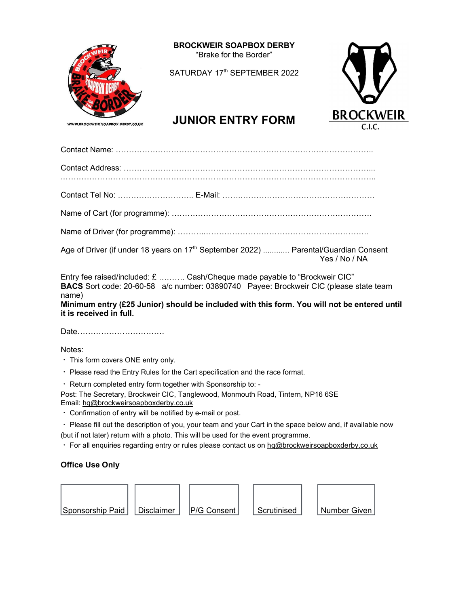

BROCKWEIR SOAPBOX DERBY "Brake for the Border"

SATURDAY 17<sup>th</sup> SEPTEMBER 2022



# JUNIOR ENTRY FORM BROCKWEIR

Contact Name: ……………………………………………………………………………………..

Contact Address: …………………………………………………………………………………...

.………………………………………………………………………………………………………..

Contact Tel No: ……………………….. E-Mail: …….……………………………………………

Name of Cart (for programme): ………………………………………………………………….

Name of Driver (for programme): ………..……………………………………………………..

Age of Driver (if under 18 years on 17<sup>th</sup> September 2022) ............ Parental/Guardian Consent Yes / No / NA

Entry fee raised/included: £ ………. Cash/Cheque made payable to "Brockweir CIC" BACS Sort code: 20-60-58 a/c number: 03890740 Payee: Brockweir CIC (please state team name)

Minimum entry (£25 Junior) should be included with this form. You will not be entered until it is received in full.

Date……………………………

Notes:

- $\cdot$  This form covers ONE entry only.
- Please read the Entry Rules for the Cart specification and the race format.
- Return completed entry form together with Sponsorship to: -

Post: The Secretary, Brockweir CIC, Tanglewood, Monmouth Road, Tintern, NP16 6SE Email: hq@brockweirsoapboxderby.co.uk

Confirmation of entry will be notified by e-mail or post.

 Please fill out the description of you, your team and your Cart in the space below and, if available now (but if not later) return with a photo. This will be used for the event programme.

· For all enquiries regarding entry or rules please contact us on hq@brockweirsoapboxderby.co.uk

## Office Use Only

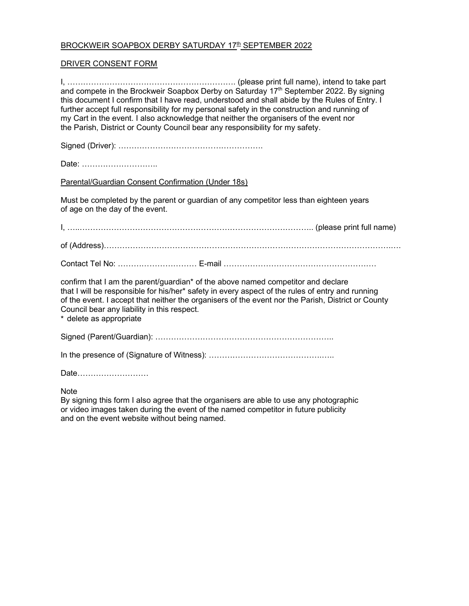### <u>BROCKWEIR SOAPBOX DERBY SATURDAY 17th SEPTEMBER 2022</u>

#### DRIVER CONSENT FORM

I, ………………………………………………………. (please print full name), intend to take part and compete in the Brockweir Soapbox Derby on Saturday 17<sup>th</sup> September 2022. By signing this document I confirm that I have read, understood and shall abide by the Rules of Entry. I further accept full responsibility for my personal safety in the construction and running of my Cart in the event. I also acknowledge that neither the organisers of the event nor the Parish, District or County Council bear any responsibility for my safety. Signed (Driver): ………………………………………………. Date: ……………………….. Parental/Guardian Consent Confirmation (Under 18s) Must be completed by the parent or guardian of any competitor less than eighteen years of age on the day of the event. I, …..…………………………………………………………………………….. (please print full name) of (Address)……………………………………………………………………………………………….…. Contact Tel No: ………………………… E-mail …………………………………………………. confirm that I am the parent/guardian\* of the above named competitor and declare that I will be responsible for his/her\* safety in every aspect of the rules of entry and running of the event. I accept that neither the organisers of the event nor the Parish, District or County Council bear any liability in this respect. \* delete as appropriate Signed (Parent/Guardian): ………………………………………………………….. In the presence of (Signature of Witness): …………………………………….….. Date………………………

**Note** 

By signing this form I also agree that the organisers are able to use any photographic or video images taken during the event of the named competitor in future publicity and on the event website without being named.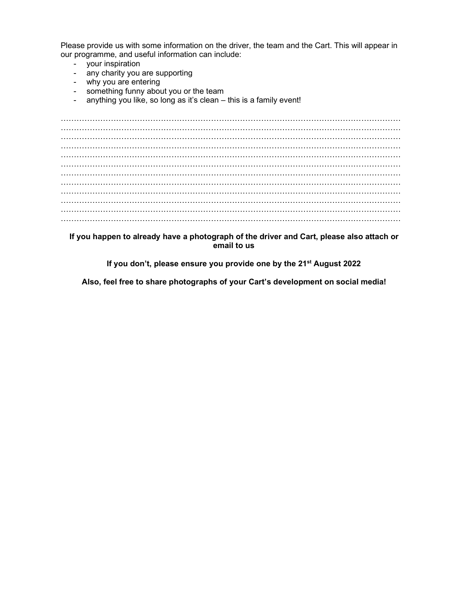Please provide us with some information on the driver, the team and the Cart. This will appear in our programme, and useful information can include:

- your inspiration
- any charity you are supporting
- why you are entering
- something funny about you or the team
- anything you like, so long as it's clean this is a family event!

………………………………………………………………………………………………………………… ………………………………………………………………………………………………………………… …………………………………………………………………………………………………………………  $\mathcal{L}^{\text{max}}_{\text{max}}$ ………………………………………………………………………………………………………………… ………………………………………………………………………………………………………………… ………………………………………………………………………………………………………………… ………………………………………………………………………………………………………………… …………………………………………………………………………………………………………………  $\mathcal{L}^{\text{max}}_{\text{max}}$ ………………………………………………………………………………………………………………… …………………………………………………………………………………………………………………

If you happen to already have a photograph of the driver and Cart, please also attach or email to us

If you don't, please ensure you provide one by the 21st August 202**2**

Also, feel free to share photographs of your Cart's development on social media!